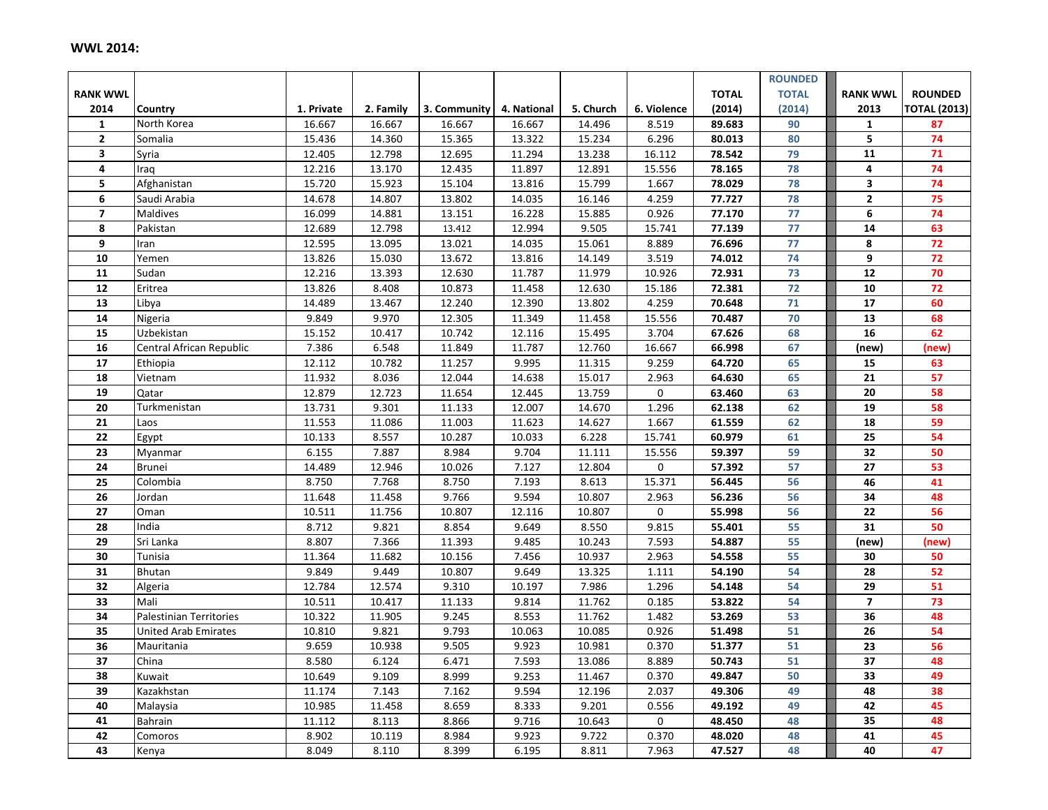## **WWL 2014:**

|                         |                                |            |           |              |             |           |             |              | <b>ROUNDED</b> |                         |                     |
|-------------------------|--------------------------------|------------|-----------|--------------|-------------|-----------|-------------|--------------|----------------|-------------------------|---------------------|
| <b>RANK WWL</b>         |                                |            |           |              |             |           |             | <b>TOTAL</b> | <b>TOTAL</b>   | <b>RANK WWL</b>         | <b>ROUNDED</b>      |
| 2014                    | Country                        | 1. Private | 2. Family | 3. Community | 4. National | 5. Church | 6. Violence | (2014)       | (2014)         | 2013                    | <b>TOTAL (2013)</b> |
| $\mathbf{1}$            | North Korea                    | 16.667     | 16.667    | 16.667       | 16.667      | 14.496    | 8.519       | 89.683       | 90             | $\mathbf{1}$            | 87                  |
| $\overline{2}$          | Somalia                        | 15.436     | 14.360    | 15.365       | 13.322      | 15.234    | 6.296       | 80.013       | 80             | 5                       | 74                  |
| $\overline{\mathbf{3}}$ | Syria                          | 12.405     | 12.798    | 12.695       | 11.294      | 13.238    | 16.112      | 78.542       | 79             | 11                      | 71                  |
| 4                       | Iraq                           | 12.216     | 13.170    | 12.435       | 11.897      | 12.891    | 15.556      | 78.165       | 78             | 4                       | 74                  |
| 5                       | Afghanistan                    | 15.720     | 15.923    | 15.104       | 13.816      | 15.799    | 1.667       | 78.029       | 78             | $\overline{\mathbf{3}}$ | 74                  |
| 6                       | Saudi Arabia                   | 14.678     | 14.807    | 13.802       | 14.035      | 16.146    | 4.259       | 77.727       | 78             | $\mathbf 2$             | 75                  |
| $\overline{7}$          | Maldives                       | 16.099     | 14.881    | 13.151       | 16.228      | 15.885    | 0.926       | 77.170       | 77             | 6                       | 74                  |
| 8                       | Pakistan                       | 12.689     | 12.798    | 13.412       | 12.994      | 9.505     | 15.741      | 77.139       | 77             | ${\bf 14}$              | 63                  |
| 9                       | Iran                           | 12.595     | 13.095    | 13.021       | 14.035      | 15.061    | 8.889       | 76.696       | 77             | 8                       | $\overline{72}$     |
| 10                      | Yemen                          | 13.826     | 15.030    | 13.672       | 13.816      | 14.149    | 3.519       | 74.012       | 74             | 9                       | $\overline{72}$     |
| 11                      | Sudan                          | 12.216     | 13.393    | 12.630       | 11.787      | 11.979    | 10.926      | 72.931       | 73             | 12                      | 70                  |
| 12                      | Eritrea                        | 13.826     | 8.408     | 10.873       | 11.458      | 12.630    | 15.186      | 72.381       | 72             | 10                      | $\overline{72}$     |
| 13                      | Libya                          | 14.489     | 13.467    | 12.240       | 12.390      | 13.802    | 4.259       | 70.648       | 71             | $\overline{17}$         | 60                  |
| 14                      | Nigeria                        | 9.849      | 9.970     | 12.305       | 11.349      | 11.458    | 15.556      | 70.487       | 70             | 13                      | 68                  |
| 15                      | Uzbekistan                     | 15.152     | 10.417    | 10.742       | 12.116      | 15.495    | 3.704       | 67.626       | 68             | 16                      | 62                  |
| 16                      | Central African Republic       | 7.386      | 6.548     | 11.849       | 11.787      | 12.760    | 16.667      | 66.998       | 67             | (new)                   | (new)               |
| 17                      | Ethiopia                       | 12.112     | 10.782    | 11.257       | 9.995       | 11.315    | 9.259       | 64.720       | 65             | 15                      | 63                  |
| 18                      | Vietnam                        | 11.932     | 8.036     | 12.044       | 14.638      | 15.017    | 2.963       | 64.630       | 65             | 21                      | 57                  |
| 19                      | Qatar                          | 12.879     | 12.723    | 11.654       | 12.445      | 13.759    | $\mathbf 0$ | 63.460       | 63             | 20                      | 58                  |
| 20                      | Turkmenistan                   | 13.731     | 9.301     | 11.133       | 12.007      | 14.670    | 1.296       | 62.138       | 62             | 19                      | 58                  |
| 21                      | Laos                           | 11.553     | 11.086    | 11.003       | 11.623      | 14.627    | 1.667       | 61.559       | 62             | 18                      | 59                  |
| 22                      | Egypt                          | 10.133     | 8.557     | 10.287       | 10.033      | 6.228     | 15.741      | 60.979       | 61             | 25                      | 54                  |
| 23                      | Myanmar                        | 6.155      | 7.887     | 8.984        | 9.704       | 11.111    | 15.556      | 59.397       | 59             | 32                      | 50                  |
| 24                      | Brunei                         | 14.489     | 12.946    | 10.026       | 7.127       | 12.804    | 0           | 57.392       | 57             | 27                      | 53                  |
| 25                      | Colombia                       | 8.750      | 7.768     | 8.750        | 7.193       | 8.613     | 15.371      | 56.445       | 56             | 46                      | 41                  |
| 26                      | Jordan                         | 11.648     | 11.458    | 9.766        | 9.594       | 10.807    | 2.963       | 56.236       | 56             | 34                      | 48                  |
| 27                      | Oman                           | 10.511     | 11.756    | 10.807       | 12.116      | 10.807    | $\mathbf 0$ | 55.998       | 56             | 22                      | 56                  |
| 28                      | India                          | 8.712      | 9.821     | 8.854        | 9.649       | 8.550     | 9.815       | 55.401       | 55             | 31                      | 50                  |
| 29                      | Sri Lanka                      | 8.807      | 7.366     | 11.393       | 9.485       | 10.243    | 7.593       | 54.887       | 55             | (new)                   | (new)               |
| 30                      | $\overline{T$ unisia           | 11.364     | 11.682    | 10.156       | 7.456       | 10.937    | 2.963       | 54.558       | 55             | 30                      | 50                  |
| 31                      | Bhutan                         | 9.849      | 9.449     | 10.807       | 9.649       | 13.325    | 1.111       | 54.190       | 54             | 28                      | 52                  |
| 32                      | Algeria                        | 12.784     | 12.574    | 9.310        | 10.197      | 7.986     | 1.296       | 54.148       | 54             | 29                      | 51                  |
| 33                      | Mali                           | 10.511     | 10.417    | 11.133       | 9.814       | 11.762    | 0.185       | 53.822       | 54             | $\overline{7}$          | 73                  |
| 34                      | <b>Palestinian Territories</b> | 10.322     | 11.905    | 9.245        | 8.553       | 11.762    | 1.482       | 53.269       | 53             | 36                      | 48                  |
| 35                      | <b>United Arab Emirates</b>    | 10.810     | 9.821     | 9.793        | 10.063      | 10.085    | 0.926       | 51.498       | 51             | 26                      | 54                  |
| 36                      | Mauritania                     | 9.659      | 10.938    | 9.505        | 9.923       | 10.981    | 0.370       | 51.377       | 51             | 23                      | 56                  |
| 37                      | China                          | 8.580      | 6.124     | 6.471        | 7.593       | 13.086    | 8.889       | 50.743       | 51             | 37                      | 48                  |
| 38                      | Kuwait                         | 10.649     | 9.109     | 8.999        | 9.253       | 11.467    | 0.370       | 49.847       | 50             | 33                      | 49                  |
| 39                      | Kazakhstan                     | 11.174     | 7.143     | 7.162        | 9.594       | 12.196    | 2.037       | 49.306       | 49             | 48                      | 38                  |
| 40                      | Malaysia                       | 10.985     | 11.458    | 8.659        | 8.333       | 9.201     | 0.556       | 49.192       | 49             | 42                      | 45                  |
| 41                      | Bahrain                        | 11.112     | 8.113     | 8.866        | 9.716       | 10.643    | $\mathbf 0$ | 48.450       | 48             | $\overline{35}$         | 48                  |
| 42                      | Comoros                        | 8.902      | 10.119    | 8.984        | 9.923       | 9.722     | 0.370       | 48.020       | 48             | 41                      | 45                  |
| 43                      | Kenya                          | 8.049      | 8.110     | 8.399        | 6.195       | 8.811     | 7.963       | 47.527       | 48             | 40                      | 47                  |